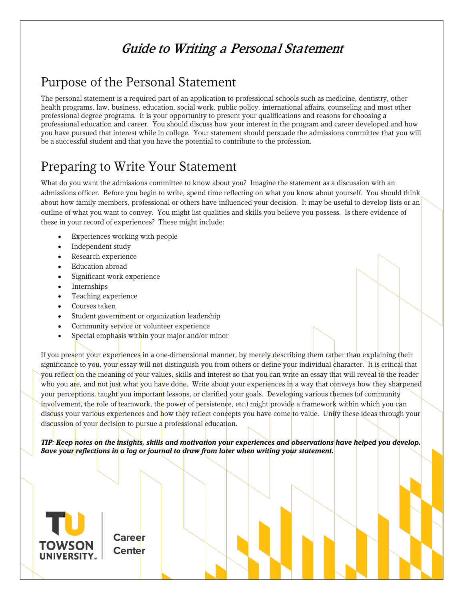## Guide to Writing a Personal Statement

### Purpose of the Personal Statement

The personal statement is a required part of an application to professional schools such as medicine, dentistry, other health programs, law, business, education, social work, public policy, international affairs, counseling and most other professional degree programs. It is your opportunity to present your qualifications and reasons for choosing a professional education and career. You should discuss how your interest in the program and career developed and how you have pursued that interest while in college. Your statement should persuade the admissions committee that you will be a successful student and that you have the potential to contribute to the profession.

### Preparing to Write Your Statement

What do you want the admissions committee to know about you? Imagine the statement as a discussion with an admissions officer. Before you begin to write, spend time reflecting on what you know about yourself. You should think about how family members, professional or others have influenced your decision. It may be useful to develop lists or an outline of what you want to convey. You might list qualities and skills you believe you possess. Is there evidence of these in your record of experiences? These might include:

- Experiences working with people
- Independent study
- Research experience
- Education abroad
- Significant work experience
- **Internships**
- Teaching experience
- Courses taken
- Student government or organization leadership
- Community service or volunteer experience
- Special emphasis within your major and/or minor

If you present your experiences in a one-dimensional manner, by merely describing them rather than explaining their significance to you, your essay will not distinguish you from others or define your individual character. It is critical that you reflect on the meaning of your values, skills and interest so that you can write an essay that will reveal to the reader who you are, and not just what you have done. Write about your experiences in a way that conveys how they sharpened your perceptions, taught you important lessons, or clarified your goals. Developing various themes (of community involvement, the role of teamwork, the power of persistence, etc.) might provide a framework within which you can discuss your various experiences and how they reflect concepts you have come to value. Unify these ideas through your discussion of your decision to pursue a professional education.

*TIP: Keep notes on the insights, skills and motivation your experiences and observations have helped you develop. Save your reflections in a log or journal to draw from later when writing your statement.*



**Career Center**